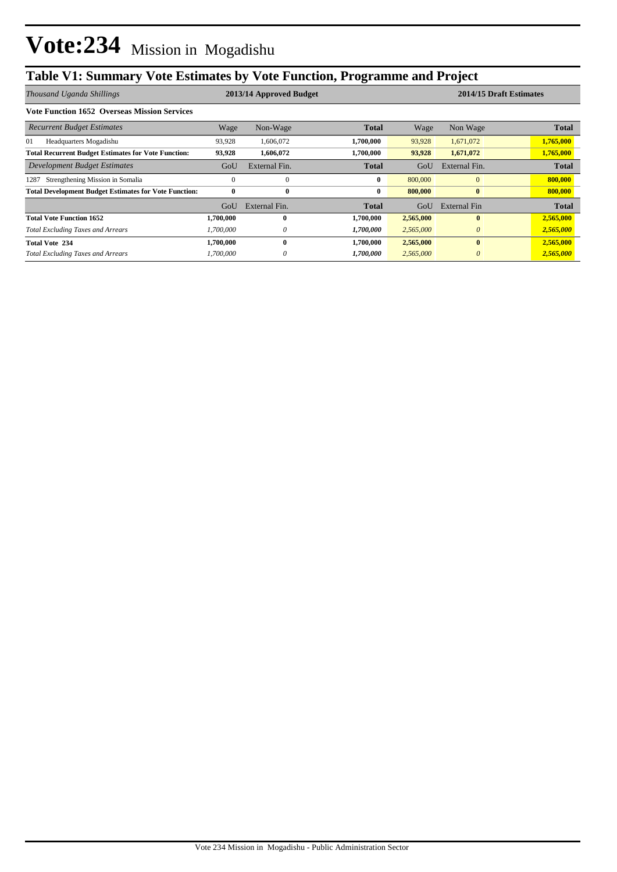## **Table V1: Summary Vote Estimates by Vote Function, Programme and Project**

| Thousand Uganda Shillings                                    | 2013/14 Approved Budget |               |              |           | 2014/15 Draft Estimates |              |  |
|--------------------------------------------------------------|-------------------------|---------------|--------------|-----------|-------------------------|--------------|--|
| <b>Vote Function 1652 Overseas Mission Services</b>          |                         |               |              |           |                         |              |  |
| <b>Recurrent Budget Estimates</b>                            | Wage                    | Non-Wage      | <b>Total</b> | Wage      | Non Wage                | <b>Total</b> |  |
| 01<br>Headquarters Mogadishu                                 | 93,928                  | 1,606,072     | 1,700,000    | 93,928    | 1,671,072               | 1,765,000    |  |
| <b>Total Recurrent Budget Estimates for Vote Function:</b>   | 93,928                  | 1,606,072     | 1,700,000    | 93,928    | 1,671,072               | 1,765,000    |  |
| Development Budget Estimates                                 | GoU                     | External Fin. | <b>Total</b> | GoU       | External Fin.           | <b>Total</b> |  |
| Strengthening Mission in Somalia<br>1287                     | $\mathbf{0}$            | $\mathbf{0}$  | $\bf{0}$     | 800,000   | $\overline{0}$          | 800,000      |  |
| <b>Total Development Budget Estimates for Vote Function:</b> | 0                       | $\bf{0}$      | $\bf{0}$     | 800,000   | $\bf{0}$                | 800,000      |  |
|                                                              | GoU                     | External Fin. | <b>Total</b> | GoU       | External Fin            | <b>Total</b> |  |
| <b>Total Vote Function 1652</b>                              | 1,700,000               | 0             | 1,700,000    | 2,565,000 | $\mathbf{0}$            | 2,565,000    |  |
| <b>Total Excluding Taxes and Arrears</b>                     | 1.700.000               | 0             | 1,700,000    | 2,565,000 | $\theta$                | 2,565,000    |  |
| <b>Total Vote 234</b>                                        | 1.700.000               | 0             | 1,700,000    | 2,565,000 | $\mathbf{0}$            | 2,565,000    |  |
| <b>Total Excluding Taxes and Arrears</b>                     | 1.700.000               | 0             | 1,700,000    | 2,565,000 | $\theta$                | 2,565,000    |  |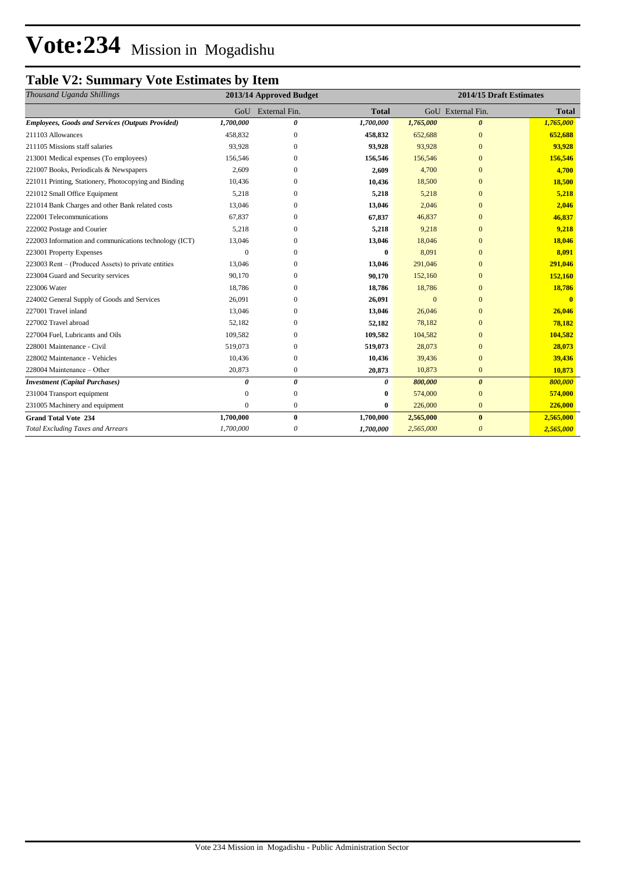# **Vote:234** Mission in Mogadishu

## **Table V2: Summary Vote Estimates by Item**

| Thousand Uganda Shillings                               |           | 2013/14 Approved Budget |              | 2014/15 Draft Estimates |                       |              |  |
|---------------------------------------------------------|-----------|-------------------------|--------------|-------------------------|-----------------------|--------------|--|
|                                                         |           | GoU External Fin.       | <b>Total</b> |                         | GoU External Fin.     | <b>Total</b> |  |
| <b>Employees, Goods and Services (Outputs Provided)</b> | 1,700,000 | 0                       | 1,700,000    | 1,765,000               | $\boldsymbol{\theta}$ | 1,765,000    |  |
| 211103 Allowances                                       | 458,832   | $\mathbf{0}$            | 458,832      | 652,688                 | $\mathbf{0}$          | 652,688      |  |
| 211105 Missions staff salaries                          | 93,928    | $\mathbf{0}$            | 93,928       | 93,928                  | $\mathbf{0}$          | 93,928       |  |
| 213001 Medical expenses (To employees)                  | 156,546   | $\Omega$                | 156,546      | 156,546                 | $\overline{0}$        | 156,546      |  |
| 221007 Books, Periodicals & Newspapers                  | 2,609     | $\mathbf{0}$            | 2,609        | 4,700                   | $\mathbf{0}$          | 4,700        |  |
| 221011 Printing, Stationery, Photocopying and Binding   | 10,436    | $\Omega$                | 10,436       | 18,500                  | $\Omega$              | 18,500       |  |
| 221012 Small Office Equipment                           | 5,218     | $\mathbf{0}$            | 5,218        | 5,218                   | $\overline{0}$        | 5,218        |  |
| 221014 Bank Charges and other Bank related costs        | 13,046    | $\Omega$                | 13,046       | 2,046                   | $\Omega$              | 2,046        |  |
| 222001 Telecommunications                               | 67,837    | $\mathbf{0}$            | 67,837       | 46,837                  | $\overline{0}$        | 46,837       |  |
| 222002 Postage and Courier                              | 5,218     | $\Omega$                | 5,218        | 9,218                   | $\Omega$              | 9,218        |  |
| 222003 Information and communications technology (ICT)  | 13,046    | $\Omega$                | 13,046       | 18,046                  | $\Omega$              | 18,046       |  |
| 223001 Property Expenses                                | $\Omega$  | $\Omega$                | 0            | 8,091                   | $\Omega$              | 8,091        |  |
| 223003 Rent – (Produced Assets) to private entities     | 13,046    | $\mathbf{0}$            | 13,046       | 291,046                 | $\overline{0}$        | 291,046      |  |
| 223004 Guard and Security services                      | 90,170    | $\Omega$                | 90,170       | 152,160                 | $\Omega$              | 152,160      |  |
| 223006 Water                                            | 18,786    | $\mathbf{0}$            | 18,786       | 18,786                  | $\overline{0}$        | 18,786       |  |
| 224002 General Supply of Goods and Services             | 26,091    | $\mathbf{0}$            | 26,091       | $\overline{0}$          | $\Omega$              | $\mathbf{0}$ |  |
| 227001 Travel inland                                    | 13,046    | $\mathbf{0}$            | 13,046       | 26,046                  | $\overline{0}$        | 26,046       |  |
| 227002 Travel abroad                                    | 52,182    | $\mathbf{0}$            | 52,182       | 78,182                  | $\Omega$              | 78,182       |  |
| 227004 Fuel. Lubricants and Oils                        | 109,582   | $\mathbf{0}$            | 109,582      | 104,582                 | $\overline{0}$        | 104,582      |  |
| 228001 Maintenance - Civil                              | 519,073   | $\boldsymbol{0}$        | 519,073      | 28,073                  | $\Omega$              | 28,073       |  |
| 228002 Maintenance - Vehicles                           | 10,436    | $\boldsymbol{0}$        | 10,436       | 39,436                  | $\overline{0}$        | 39,436       |  |
| 228004 Maintenance - Other                              | 20,873    | $\mathbf{0}$            | 20,873       | 10,873                  | $\mathbf{0}$          | 10,873       |  |
| <b>Investment</b> (Capital Purchases)                   | 0         | 0                       | 0            | 800,000                 | $\theta$              | 800,000      |  |
| 231004 Transport equipment                              |           | $\mathbf{0}$            | 0            | 574,000                 | $\mathbf{0}$          | 574,000      |  |
| 231005 Machinery and equipment                          | $\Omega$  | $\boldsymbol{0}$        | 0            | 226,000                 | $\mathbf{0}$          | 226,000      |  |
| <b>Grand Total Vote 234</b>                             | 1.700.000 | $\bf{0}$                | 1,700,000    | 2,565,000               | $\bf{0}$              | 2,565,000    |  |
| <b>Total Excluding Taxes and Arrears</b>                | 1,700,000 | 0                       | 1,700,000    | 2,565,000               | $\theta$              | 2,565,000    |  |